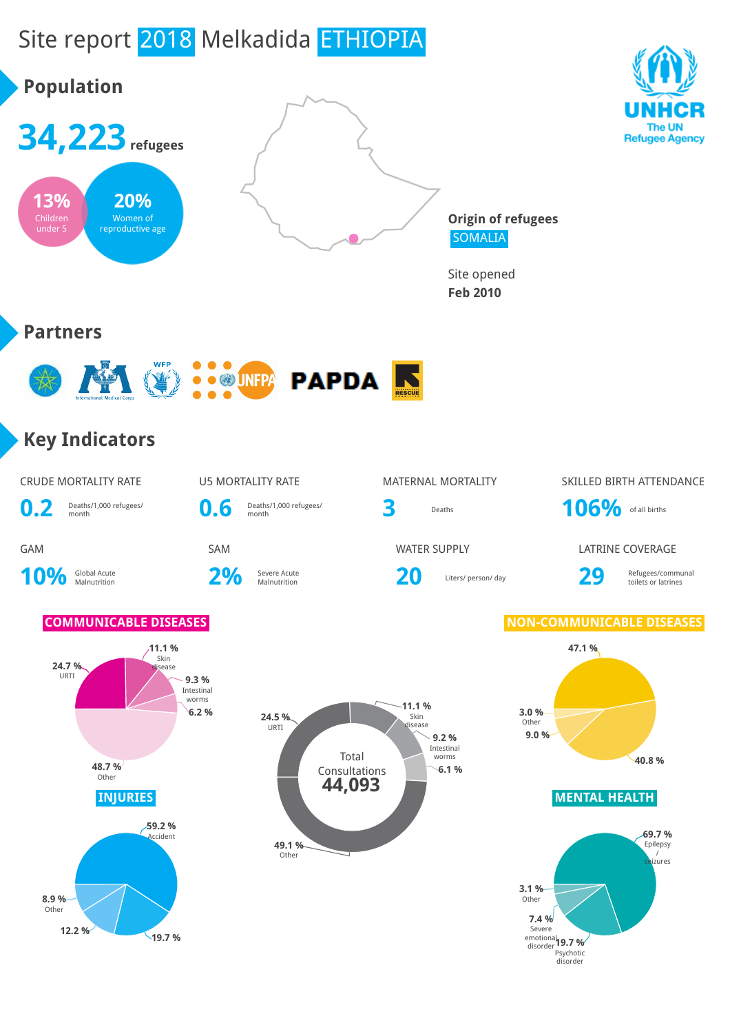# Site report 2018 Melkadida ETHIOPIA

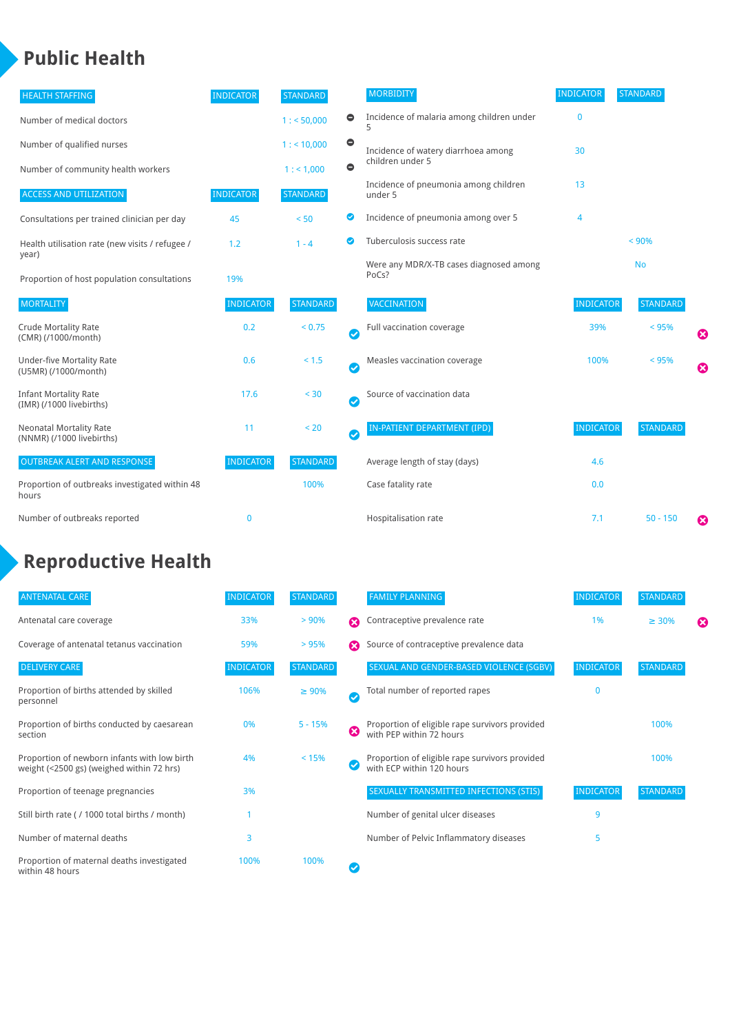### **Public Health**

| <b>HEALTH STAFFING</b>                                      | <b>INDICATOR</b> | <b>STANDARD</b> |           | <b>MORBIDITY</b>                                 | <b>INDICATOR</b> | <b>STANDARD</b> |   |
|-------------------------------------------------------------|------------------|-----------------|-----------|--------------------------------------------------|------------------|-----------------|---|
| Number of medical doctors                                   |                  | 1: 50,000       | $\bullet$ | Incidence of malaria among children under        | $\bf{0}$         |                 |   |
| Number of qualified nurses                                  |                  | $1:$ < 10,000   | $\bullet$ | Incidence of watery diarrhoea among              | 30               |                 |   |
| Number of community health workers                          |                  | 1:1,000         | $\bullet$ | children under 5                                 |                  |                 |   |
| <b>ACCESS AND UTILIZATION</b>                               | <b>INDICATOR</b> | <b>STANDARD</b> |           | Incidence of pneumonia among children<br>under 5 | 13               |                 |   |
| Consultations per trained clinician per day                 | 45               | < 50            | Ø         | Incidence of pneumonia among over 5              | $\overline{4}$   |                 |   |
| Health utilisation rate (new visits / refugee /             | 1.2              | $1 - 4$         | ☑         | Tuberculosis success rate                        |                  | < 90%           |   |
| year)<br>Proportion of host population consultations        | 19%              |                 |           | Were any MDR/X-TB cases diagnosed among<br>PoCs? |                  | <b>No</b>       |   |
| <b>MORTALITY</b>                                            | <b>INDICATOR</b> | <b>STANDARD</b> |           | <b>VACCINATION</b>                               | <b>INDICATOR</b> | <b>STANDARD</b> |   |
| <b>Crude Mortality Rate</b><br>(CMR) (/1000/month)          | 0.2              | < 0.75          | Ø         | Full vaccination coverage                        | 39%              | < 95%           | ೞ |
| Under-five Mortality Rate<br>(U5MR) (/1000/month)           | 0.6              | $< 1.5$         | Ø         | Measles vaccination coverage                     | 100%             | < 95%           | Ø |
| <b>Infant Mortality Rate</b><br>(IMR) (/1000 livebirths)    | 17.6             | $30$            | Ø         | Source of vaccination data                       |                  |                 |   |
| <b>Neonatal Mortality Rate</b><br>(NNMR) (/1000 livebirths) | 11               | < 20            | Ø         | IN-PATIENT DEPARTMENT (IPD)                      | <b>INDICATOR</b> | <b>STANDARD</b> |   |
| <b>OUTBREAK ALERT AND RESPONSE</b>                          | <b>INDICATOR</b> | <b>STANDARD</b> |           | Average length of stay (days)                    | 4.6              |                 |   |
| Proportion of outbreaks investigated within 48<br>hours     |                  | 100%            |           | Case fatality rate                               | 0.0              |                 |   |
| Number of outbreaks reported                                | 0                |                 |           | Hospitalisation rate                             | 7.1              | $50 - 150$      | ೞ |

## **Reproductive Health**

| <b>ANTENATAL CARE</b>                                                                     | <b>INDICATOR</b> | <b>STANDARD</b> |   | <b>FAMILY PLANNING</b>                                                      | <b>INDICATOR</b> | <b>STANDARD</b> |   |
|-------------------------------------------------------------------------------------------|------------------|-----------------|---|-----------------------------------------------------------------------------|------------------|-----------------|---|
| Antenatal care coverage                                                                   | 33%              | > 90%           | ⋒ | Contraceptive prevalence rate                                               | 1%               | $\geq 30\%$     | ⊠ |
| Coverage of antenatal tetanus vaccination                                                 | 59%              | >95%            | Ω | Source of contraceptive prevalence data                                     |                  |                 |   |
| <b>DELIVERY CARE</b>                                                                      | <b>INDICATOR</b> | <b>STANDARD</b> |   | SEXUAL AND GENDER-BASED VIOLENCE (SGBV)                                     | <b>INDICATOR</b> | <b>STANDARD</b> |   |
| Proportion of births attended by skilled<br>personnel                                     | 106%             | $\geq 90\%$     | Ø | Total number of reported rapes                                              | O                |                 |   |
| Proportion of births conducted by caesarean<br>section                                    | 0%               | $5 - 15%$       | ೞ | Proportion of eligible rape survivors provided<br>with PEP within 72 hours  |                  | 100%            |   |
| Proportion of newborn infants with low birth<br>weight (<2500 gs) (weighed within 72 hrs) | 4%               | < 15%           |   | Proportion of eligible rape survivors provided<br>with ECP within 120 hours |                  | 100%            |   |
| Proportion of teenage pregnancies                                                         | 3%               |                 |   | SEXUALLY TRANSMITTED INFECTIONS (STIS)                                      | <b>INDICATOR</b> | <b>STANDARD</b> |   |
| Still birth rate (/1000 total births / month)                                             |                  |                 |   | Number of genital ulcer diseases                                            | 9                |                 |   |
| Number of maternal deaths                                                                 | 3                |                 |   | Number of Pelvic Inflammatory diseases                                      | 5                |                 |   |
| Proportion of maternal deaths investigated<br>within 48 hours                             | 100%             | 100%            |   |                                                                             |                  |                 |   |